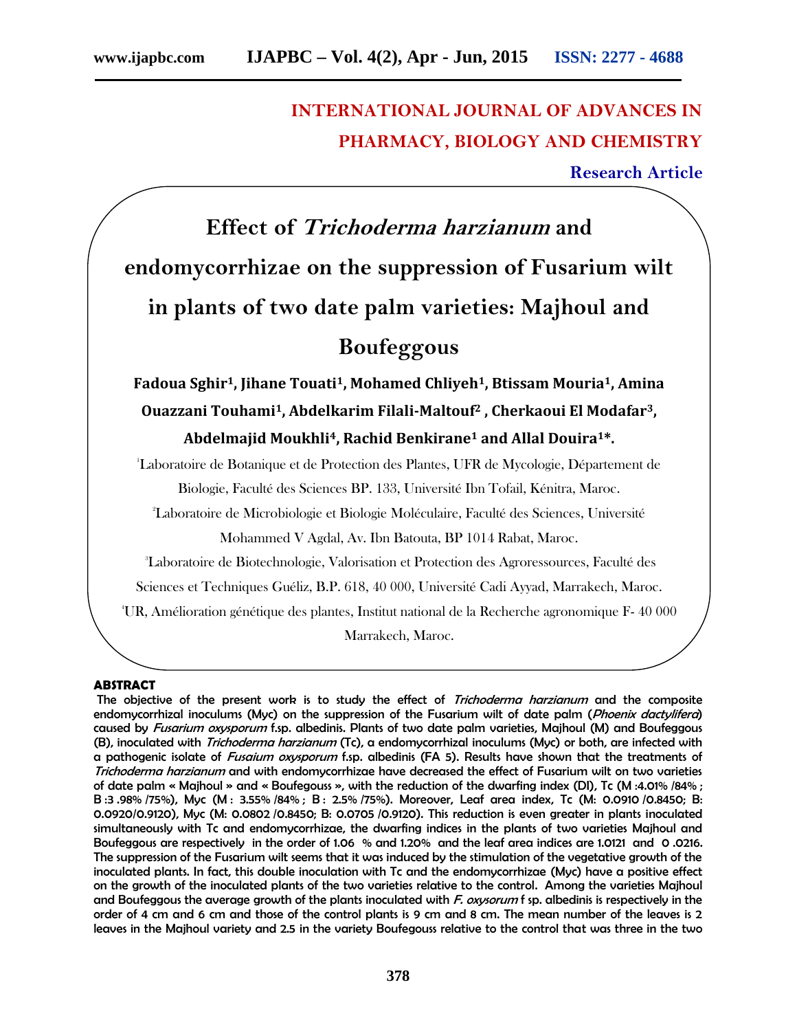# **INTERNATIONAL JOURNAL OF ADVANCES IN PHARMACY, BIOLOGY AND CHEMISTRY**

**Research Article**

# **Effect of** *Trichoderma harzianum* **and endomycorrhizae on the suppression of Fusarium wilt in plants of two date palm varieties: Majhoul and Boufeggous**

**Fadoua Sghir1, Jihane Touati1, Mohamed Chliyeh1, Btissam Mouria1, Amina Ouazzani Touhami1, Abdelkarim Filali-Maltouf<sup>2</sup> , Cherkaoui El Modafar3, Abdelmajid Moukhli4, Rachid Benkirane<sup>1</sup> and Allal Douira1\*.**

<sup>1</sup>Laboratoire de Botanique et de Protection des Plantes, UFR de Mycologie, Département de

Biologie, Faculté des Sciences BP. 133, Université Ibn Tofail, Kénitra, Maroc.

<sup>2</sup>Laboratoire de Microbiologie et Biologie Moléculaire, Faculté des Sciences, Université

Mohammed V Agdal, Av. Ibn Batouta, BP 1014 Rabat, Maroc.

<sup>3</sup>Laboratoire de Biotechnologie, Valorisation et Protection des Agroressources, Faculté des

Sciences et Techniques Guéliz, B.P. 618, 40 000, Université Cadi Ayyad, Marrakech, Maroc.

<sup>4</sup>UR, Amélioration génétique des plantes, Institut national de la Recherche agronomique F- 40 000

Marrakech, Maroc.

#### **ABSTRACT**

The objective of the present work is to study the effect of *Trichoderma harzianum* and the composite endomycorrhizal inoculums (Myc) on the suppression of the Fusarium wilt of date palm (*Phoenix dactylifera*) caused by *Fusarium oxysporum* f.sp. albedinis. Plants of two date palm varieties, Majhoul (M) and Boufeggous (B), inoculated with *Trichoderma harzianum* (Tc), a endomycorrhizal inoculums (Myc) or both, are infected with a pathogenic isolate of *Fusaium oxysporum* f.sp. albedinis (FA 5). Results have shown that the treatments of *Trichoderma harzianum* and with endomycorrhizae have decreased the effect of Fusarium wilt on two varieties of date palm « Majhoul » and « Boufegouss », with the reduction of the dwarfing index (DI), Tc (M :4.01% /84% ; B :3 .98% /75%), Myc (M : 3.55% /84% ; B : 2.5% /75%). Moreover, Leaf area index, Tc (M: 0.0910 /0.8450; B: 0.0920/0.9120), Myc (M: 0.0802 /0.8450; B: 0.0705 /0.9120). This reduction is even greater in plants inoculated simultaneously with Tc and endomycorrhizae, the dwarfing indices in the plants of two varieties Majhoul and Boufeggous are respectively in the order of 1.06 % and 1.20% and the leaf area indices are 1.0121 and 0 .0216. The suppression of the Fusarium wilt seems that it was induced by the stimulation of the vegetative growth of the inoculated plants. In fact, this double inoculation with Tc and the endomycorrhizae (Myc) have a positive effect on the growth of the inoculated plants of the two varieties relative to the control. Among the varieties Majhoul and Boufeggous the average growth of the plants inoculated with *F. oxysorum* f sp. albedinis is respectively in the order of 4 cm and 6 cm and those of the control plants is 9 cm and 8 cm. The mean number of the leaves is 2 leaves in the Majhoul variety and 2.5 in the variety Boufegouss relative to the control that was three in the two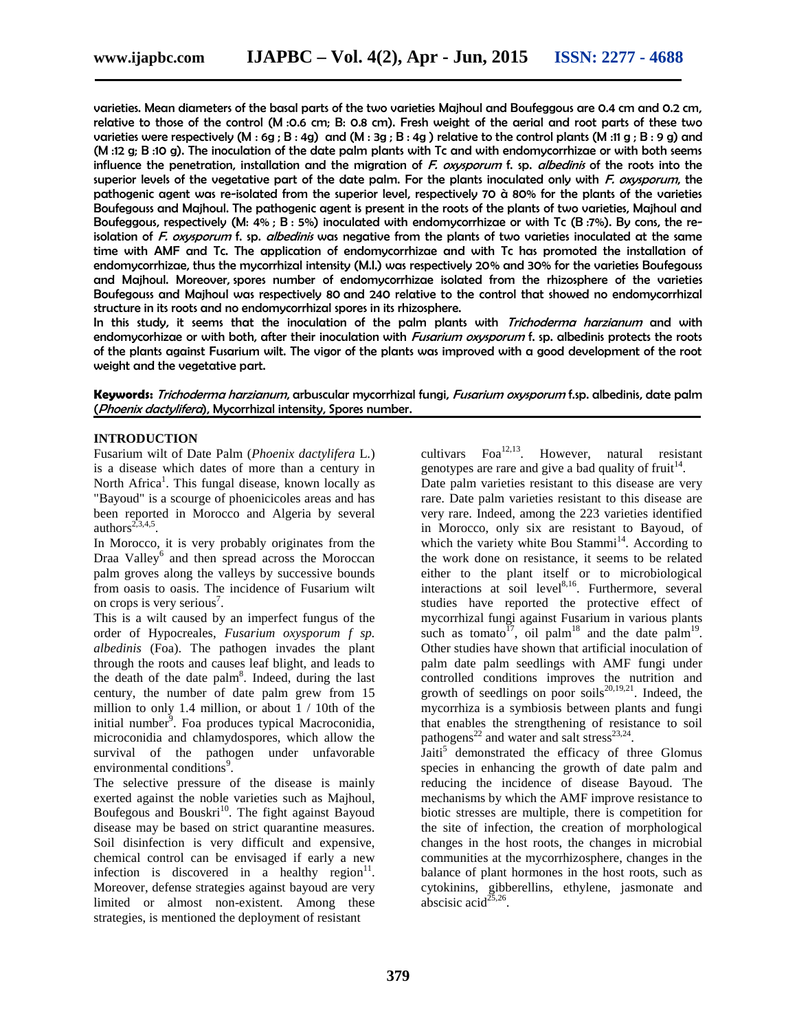varieties. Mean diameters of the basal parts of the two varieties Majhoul and Boufeggous are 0.4 cm and 0.2 cm, relative to those of the control (M :0.6 cm; B: 0.8 cm). Fresh weight of the aerial and root parts of these two varieties were respectively (M : 6g ; B : 4g) and (M : 3g ; B : 4g) relative to the control plants (M :11 g ; B : 9 g) and (M :12 g; B :10 g). The inoculation of the date palm plants with Tc and with endomycorrhizae or with both seems influence the penetration, installation and the migration of *F. oxysporum* f. sp. *albedinis* of the roots into the superior levels of the vegetative part of the date palm. For the plants inoculated only with *F. oxysporum*, the pathogenic agent was re-isolated from the superior level, respectively 70 à 80% for the plants of the varieties Boufegouss and Majhoul. The pathogenic agent is present in the roots of the plants of two varieties, Majhoul and Boufeggous, respectively (M: 4% ; B : 5%) inoculated with endomycorrhizae or with Tc (B :7%). By cons, the reisolation of *F. oxysporum* f. sp. *albedinis* was negative from the plants of two varieties inoculated at the same time with AMF and Tc. The application of endomycorrhizae and with Tc has promoted the installation of endomycorrhizae, thus the mycorrhizal intensity (M.I.) was respectively 20% and 30% for the varieties Boufegouss and Majhoul. Moreover, spores number of endomycorrhizae isolated from the rhizosphere of the varieties Boufegouss and Majhoul was respectively 80 and 240 relative to the control that showed no endomycorrhizal structure in its roots and no endomycorrhizal spores in its rhizosphere.

In this study, it seems that the inoculation of the palm plants with *Trichoderma harzianum* and with endomycorhizae or with both, after their inoculation with *Fusarium oxysporum* f. sp. albedinis protects the roots of the plants against Fusarium wilt. The vigor of the plants was improved with a good development of the root weight and the vegetative part.

**Keywords:** *Trichoderma harzianum*, arbuscular mycorrhizal fungi, *Fusarium oxysporum* f.sp. albedinis, date palm (*Phoenix dactylifera*), Mycorrhizal intensity, Spores number.

# **INTRODUCTION**

Fusarium wilt of Date Palm (*Phoenix dactylifera* L*.*) is a disease which dates of more than a century in North Africa<sup>1</sup>. This fungal disease, known locally as "Bayoud" is a scourge of phoenicicoles areas and has been reported in Morocco and Algeria by several authors $2,3,4,5$ .

In Morocco, it is very probably originates from the Draa Valley<sup>6</sup> and then spread across the Moroccan palm groves along the valleys by successive bounds from oasis to oasis. The incidence of Fusarium wilt on crops is very serious<sup>7</sup>.

This is a wilt caused by an imperfect fungus of the order of Hypocreales, *Fusarium oxysporum f sp. albedinis* (Foa). The pathogen invades the plant through the roots and causes leaf blight, and leads to the death of the date palm<sup>8</sup>. Indeed, during the last century, the number of date palm grew from 15 million to only 1.4 million, or about 1 / 10th of the initial number<sup>9</sup>. Foa produces typical Macroconidia, microconidia and chlamydospores, which allow the survival of the pathogen under unfavorable environmental conditions<sup>9</sup>.

The selective pressure of the disease is mainly exerted against the noble varieties such as Majhoul, Boufegous and Bouskri<sup>10</sup>. The fight against Bayoud disease may be based on strict quarantine measures. Soil disinfection is very difficult and expensive, chemical control can be envisaged if early a new infection is discovered in a healthy region $11$ . Moreover, defense strategies against bayoud are very limited or almost non-existent. Among these strategies, is mentioned the deployment of resistant

cultivars  $Foa^{12,13}$ . However, natural resistant genotypes are rare and give a bad quality of fruit  $14$ .

Date palm varieties resistant to this disease are very rare. Date palm varieties resistant to this disease are very rare. Indeed, among the 223 varieties identified in Morocco, only six are resistant to Bayoud, of which the variety white Bou Stammi<sup>14</sup>. According to the work done on resistance, it seems to be related either to the plant itself or to microbiological interactions at soil level<sup>8,16</sup>. Furthermore, several studies have reported the protective effect of mycorrhizal fungi against Fusarium in various plants such as tomato<sup>17</sup>, oil palm<sup>18</sup> and the date palm<sup>19</sup>. Other studies have shown that artificial inoculation of palm date palm seedlings with AMF fungi under controlled conditions improves the nutrition and growth of seedlings on poor soils $^{20,19,21}$ . Indeed, the mycorrhiza is a symbiosis between plants and fungi that enables the strengthening of resistance to soil pathogens<sup>22</sup> and water and salt stress<sup>23,24</sup>. .

Jaiti<sup>5</sup> demonstrated the efficacy of three Glomus species in enhancing the growth of date palm and reducing the incidence of disease Bayoud. The mechanisms by which the AMF improve resistance to biotic stresses are multiple, there is competition for the site of infection, the creation of morphological changes in the host roots, the changes in microbial communities at the mycorrhizosphere, changes in the balance of plant hormones in the host roots, such as cytokinins, gibberellins, ethylene, jasmonate and abscisic acid $^{25,26}$ .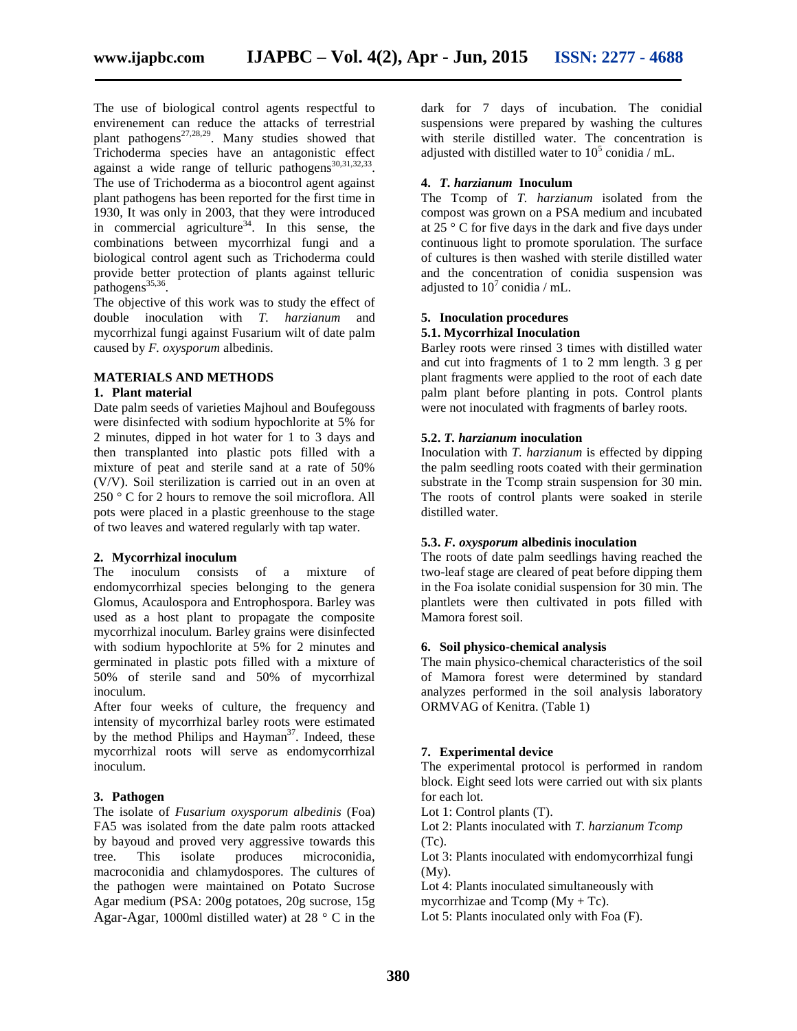The use of biological control agents respectful to envirenement can reduce the attacks of terrestrial plant pathogens<sup>27,28,29</sup>. Many studies showed that Trichoderma species have an antagonistic effect against a wide range of telluric pathogens $30,31,32,33$ . The use of Trichoderma as a biocontrol agent against plant pathogens has been reported for the first time in 1930, It was only in 2003, that they were introduced in commercial agriculture<sup>34</sup>. In this sense, the combinations between mycorrhizal fungi and a biological control agent such as Trichoderma could provide better protection of plants against telluric  $pathogens<sup>35,36</sup>$ .

The objective of this work was to study the effect of double inoculation with *T. harzianum* and mycorrhizal fungi against Fusarium wilt of date palm caused by *F. oxysporum* albedinis.

#### **MATERIALS AND METHODS**

#### **1. Plant material**

Date palm seeds of varieties Majhoul and Boufegouss were disinfected with sodium hypochlorite at 5% for 2 minutes, dipped in hot water for 1 to 3 days and then transplanted into plastic pots filled with a mixture of peat and sterile sand at a rate of 50% (V/V). Soil sterilization is carried out in an oven at 250 ° C for 2 hours to remove the soil microflora. All pots were placed in a plastic greenhouse to the stage of two leaves and watered regularly with tap water.

#### **2. Mycorrhizal inoculum**

The inoculum consists of a mixture of endomycorrhizal species belonging to the genera Glomus, Acaulospora and Entrophospora. Barley was used as a host plant to propagate the composite mycorrhizal inoculum. Barley grains were disinfected with sodium hypochlorite at 5% for 2 minutes and germinated in plastic pots filled with a mixture of 50% of sterile sand and 50% of mycorrhizal inoculum.

After four weeks of culture, the frequency and intensity of mycorrhizal barley roots were estimated by the method Philips and Hayman<sup>37</sup>. Indeed, these mycorrhizal roots will serve as endomycorrhizal inoculum.

## **3. Pathogen**

The isolate of *Fusarium oxysporum albedinis* (Foa) FA5 was isolated from the date palm roots attacked by bayoud and proved very aggressive towards this tree. This isolate produces microconidia, macroconidia and chlamydospores. The cultures of the pathogen were maintained on Potato Sucrose Agar medium (PSA: 200g potatoes, 20g sucrose, 15g Agar-Agar, 1000ml distilled water) at 28  $\degree$  C in the

dark for 7 days of incubation. The conidial suspensions were prepared by washing the cultures with sterile distilled water. The concentration is adjusted with distilled water to  $10^5$  conidia / mL.

#### **4.** *T. harzianum* **Inoculum**

The Tcomp of *T. harzianum* isolated from the compost was grown on a PSA medium and incubated at 25 ° C for five days in the dark and five days under continuous light to promote sporulation. The surface of cultures is then washed with sterile distilled water and the concentration of conidia suspension was adjusted to  $10^7$  conidia / mL.

# **5. Inoculation procedures 5.1. Mycorrhizal Inoculation**

Barley roots were rinsed 3 times with distilled water and cut into fragments of 1 to 2 mm length. 3 g per plant fragments were applied to the root of each date palm plant before planting in pots. Control plants were not inoculated with fragments of barley roots.

#### **5.2.** *T. harzianum* **inoculation**

Inoculation with *T. harzianum* is effected by dipping the palm seedling roots coated with their germination substrate in the Tcomp strain suspension for 30 min. The roots of control plants were soaked in sterile distilled water.

#### **5.3.** *F. oxysporum* **albedinis inoculation**

The roots of date palm seedlings having reached the two-leaf stage are cleared of peat before dipping them in the Foa isolate conidial suspension for 30 min. The plantlets were then cultivated in pots filled with Mamora forest soil.

#### **6. Soil physico-chemical analysis**

The main physico-chemical characteristics of the soil of Mamora forest were determined by standard analyzes performed in the soil analysis laboratory ORMVAG of Kenitra. (Table 1)

## **7. Experimental device**

The experimental protocol is performed in random block. Eight seed lots were carried out with six plants for each lot.

Lot 1: Control plants (T).

Lot 2: Plants inoculated with *T. harzianum Tcomp*  $(Tc)$ .

Lot 3: Plants inoculated with endomycorrhizal fungi (My).

Lot 4: Plants inoculated simultaneously with

mycorrhizae and Tcomp  $My + Tc$ ).

Lot 5: Plants inoculated only with Foa (F).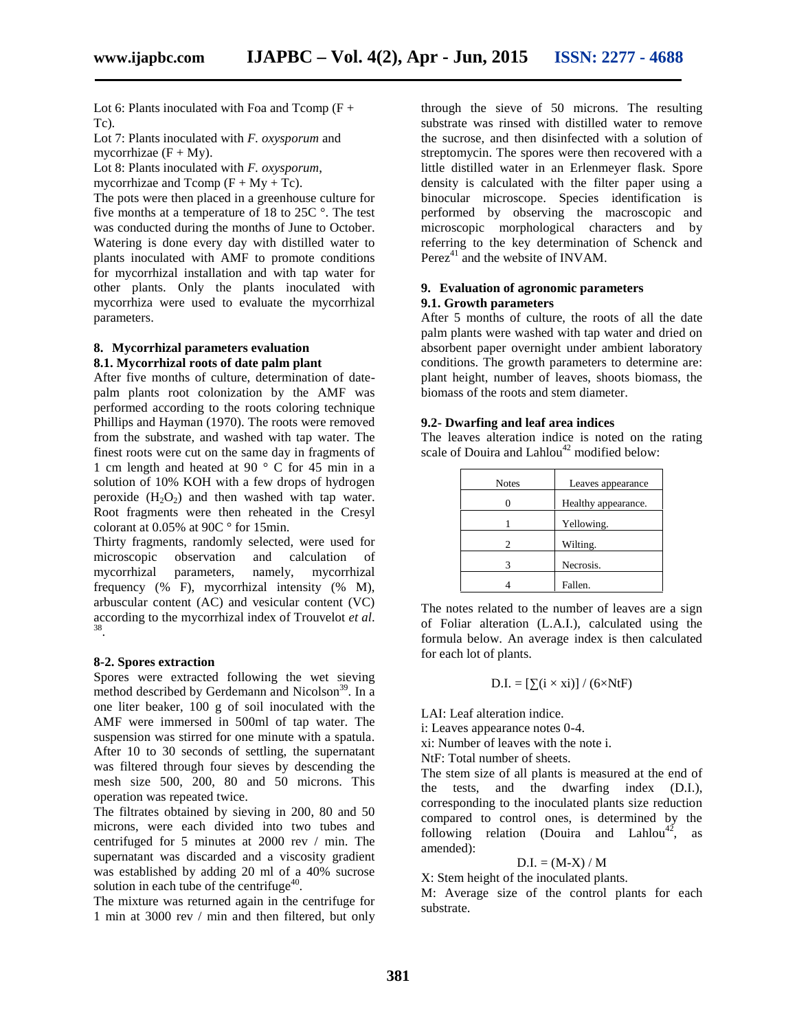Lot 6: Plants inoculated with Foa and Tcomp  $(F +$ Tc).

Lot 7: Plants inoculated with *F. oxysporum* and mycorrhizae  $(F + My)$ .

Lot 8: Plants inoculated with *F. oxysporum*,

mycorrhizae and Tcomp  $(F + Mv + Tc)$ .

The pots were then placed in a greenhouse culture for five months at a temperature of 18 to 25C °. The test was conducted during the months of June to October. Watering is done every day with distilled water to plants inoculated with AMF to promote conditions for mycorrhizal installation and with tap water for other plants. Only the plants inoculated with mycorrhiza were used to evaluate the mycorrhizal parameters.

#### **8. Mycorrhizal parameters evaluation 8.1. Mycorrhizal roots of date palm plant**

After five months of culture, determination of date palm plants root colonization by the AMF was performed according to the roots coloring technique Phillips and Hayman (1970). The roots were removed from the substrate, and washed with tap water. The finest roots were cut on the same day in fragments of 1 cm length and heated at 90 ° C for 45 min in a solution of 10% KOH with a few drops of hydrogen peroxide  $(H_2O_2)$  and then washed with tap water. Root fragments were then reheated in the Cresyl colorant at 0.05% at 90C ° for 15min.

Thirty fragments, randomly selected, were used for microscopic observation and calculation of mycorrhizal parameters, namely, mycorrhizal frequency (% F), mycorrhizal intensity (% M), arbuscular content (AC) and vesicular content (VC) according to the mycorrhizal index of Trouvelot *et al*. <sup>38</sup> .

## **8-2. Spores extraction**

Spores were extracted following the wet sieving method described by Gerdemann and Nicolson<sup>39</sup>. In a one liter beaker, 100 g of soil inoculated with the AMF were immersed in 500ml of tap water. The suspension was stirred for one minute with a spatula. After 10 to 30 seconds of settling, the supernatant was filtered through four sieves by descending the mesh size 500, 200, 80 and 50 microns. This operation was repeated twice.

The filtrates obtained by sieving in 200, 80 and 50 microns, were each divided into two tubes and centrifuged for 5 minutes at 2000 rev / min. The supernatant was discarded and a viscosity gradient was established by adding 20 ml of a 40% sucrose solution in each tube of the centrifuge $40$ .

The mixture was returned again in the centrifuge for 1 min at 3000 rev / min and then filtered, but only

through the sieve of 50 microns. The resulting substrate was rinsed with distilled water to remove the sucrose, and then disinfected with a solution of streptomycin. The spores were then recovered with a little distilled water in an Erlenmeyer flask. Spore density is calculated with the filter paper using a binocular microscope. Species identification is performed by observing the macroscopic and microscopic morphological characters and by referring to the key determination of Schenck and Perez<sup>41</sup> and the website of INVAM.

## **9. Evaluation of agronomic parameters 9.1. Growth parameters**

After 5 months of culture, the roots of all the date palm plants were washed with tap water and dried on absorbent paper overnight under ambient laboratory conditions. The growth parameters to determine are: plant height, number of leaves, shoots biomass, the biomass of the roots and stem diameter.

#### **9.2- Dwarfing and leaf area indices**

The leaves alteration indice is noted on the rating scale of Douira and Lahlou<sup>42</sup> modified below:

| <b>Notes</b> | Leaves appearance   |
|--------------|---------------------|
|              | Healthy appearance. |
|              | Yellowing.          |
|              | Wilting.            |
|              | Necrosis.           |
|              | Fallen.             |

The notes related to the number of leaves are a sign of Foliar alteration (L.A.I.), calculated using the formula below. An average index is then calculated for each lot of plants.

$$
D.I. = [ (i \times xi)] / (6 \times NtF)
$$

LAI: Leaf alteration indice.

i: Leaves appearance notes 0-4.

xi: Number of leaves with the note i.

NtF: Total number of sheets.

The stem size of all plants is measured at the end of the tests, and the dwarfing index (D.I.), corresponding to the inoculated plants size reduction compared to control ones, is determined by the following relation (Douira and Lahlou<sup>42</sup>, as amended):

## $D.I. = (M-X)/M$

X: Stem height of the inoculated plants. M: Average size of the control plants for each substrate.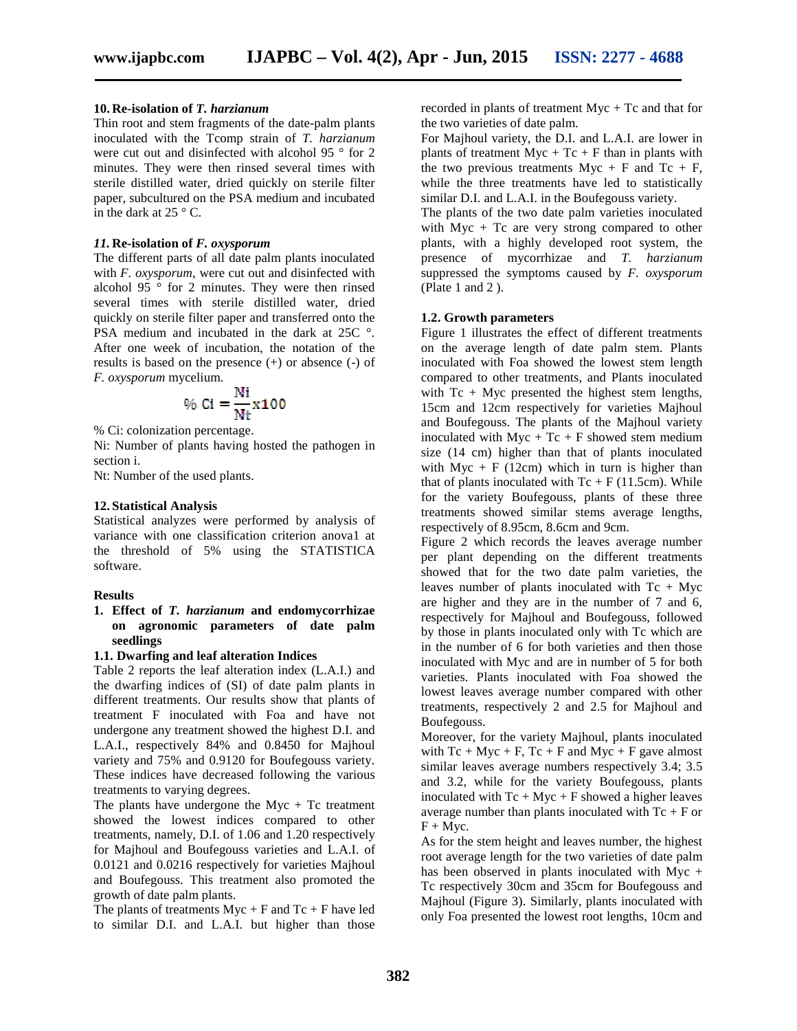#### **10. Re-isolation of** *T. harzianum*

Thin root and stem fragments of the date-palm plants inoculated with the Tcomp strain of *T. harzianum* were cut out and disinfected with alcohol 95 ° for 2 minutes. They were then rinsed several times with sterile distilled water, dried quickly on sterile filter paper, subcultured on the PSA medium and incubated in the dark at  $25^\circ$  C.

#### *11.* **Re-isolation of** *F. oxysporum*

The different parts of all date palm plants inoculated with *F. oxysporum*, were cut out and disinfected with alcohol 95 $\degree$  for 2 minutes. They were then rinsed several times with sterile distilled water, dried quickly on sterile filter paper and transferred onto the PSA medium and incubated in the dark at 25C °. After one week of incubation, the notation of the results is based on the presence (+) or absence (-) of *F. oxysporum* mycelium.

$$
\% \text{ Ci} = \frac{\text{Ni}}{\text{N}t} \times 100
$$

% Ci: colonization percentage.

Ni: Number of plants having hosted the pathogen in section i.

Nt: Number of the used plants.

#### **12. Statistical Analysis**

Statistical analyzes were performed by analysis of variance with one classification criterion anova1 at the threshold of 5% using the STATISTICA software.

#### **Results**

#### **1. Effect of** *T. harzianum* **and endomycorrhizae on agronomic parameters of date palm seedlings**

#### **1.1. Dwarfing and leaf alteration Indices**

Table 2 reports the leaf alteration index (L.A.I.) and the dwarfing indices of (SI) of date palm plants in different treatments. Our results show that plants of treatment F inoculated with Foa and have not undergone any treatment showed the highest D.I. and L.A.I., respectively 84% and 0.8450 for Majhoul variety and 75% and 0.9120 for Boufegouss variety. These indices have decreased following the various treatments to varying degrees.

The plants have undergone the  $Myc + Tc$  treatment showed the lowest indices compared to other treatments, namely, D.I. of 1.06 and 1.20 respectively for Majhoul and Boufegouss varieties and L.A.I. of 0.0121 and 0.0216 respectively for varieties Majhoul and Boufegouss. This treatment also promoted the growth of date palm plants.

The plants of treatments  $Myc + F$  and  $Tc + F$  have led to similar D.I. and L.A.I. but higher than those

recorded in plants of treatment Myc + Tc and that for the two varieties of date palm.

For Majhoul variety, the D.I. and L.A.I. are lower in plants of treatment  $Myc + Tc + F$  than in plants with the two previous treatments  $Myc + F$  and  $Tc + F$ , while the three treatments have led to statistically similar D.I. and L.A.I. in the Boufegouss variety.

The plants of the two date palm varieties inoculated with Myc + Tc are very strong compared to other plants, with a highly developed root system, the presence of mycorrhizae and *T. harzianum* suppressed the symptoms caused by *F. oxysporum* (Plate 1 and 2 ).

#### **1.2. Growth parameters**

Figure 1 illustrates the effect of different treatments on the average length of date palm stem. Plants inoculated with Foa showed the lowest stem length compared to other treatments, and Plants inoculated with  $Tc + Myc$  presented the highest stem lengths, 15cm and 12cm respectively for varieties Majhoul and Boufegouss. The plants of the Majhoul variety inoculated with  $Myc + Tc + F$  showed stem medium size (14 cm) higher than that of plants inoculated with Myc + F (12cm) which in turn is higher than that of plants inoculated with  $Tc + F(11.5cm)$ . While for the variety Boufegouss, plants of these three treatments showed similar stems average lengths, respectively of 8.95cm, 8.6cm and 9cm.

Figure 2 which records the leaves average number per plant depending on the different treatments showed that for the two date palm varieties, the leaves number of plants inoculated with  $T_c + Myc$ are higher and they are in the number of 7 and 6, respectively for Majhoul and Boufegouss, followed by those in plants inoculated only with Tc which are in the number of 6 for both varieties and then those inoculated with Myc and are in number of 5 for both varieties. Plants inoculated with Foa showed the lowest leaves average number compared with other treatments, respectively 2 and 2.5 for Majhoul and Boufegouss.

Moreover, for the variety Majhoul, plants inoculated with  $Tc + Myc + F$ ,  $Tc + F$  and  $Myc + F$  gave almost similar leaves average numbers respectively 3.4; 3.5 and 3.2, while for the variety Boufegouss, plants inoculated with  $Tc + Myc + F$  showed a higher leaves average number than plants inoculated with  $Tc + F$  or  $F + Myc$ .

As for the stem height and leaves number, the highest root average length for the two varieties of date palm has been observed in plants inoculated with Myc + Tc respectively 30cm and 35cm for Boufegouss and Majhoul (Figure 3). Similarly, plants inoculated with only Foa presented the lowest root lengths, 10cm and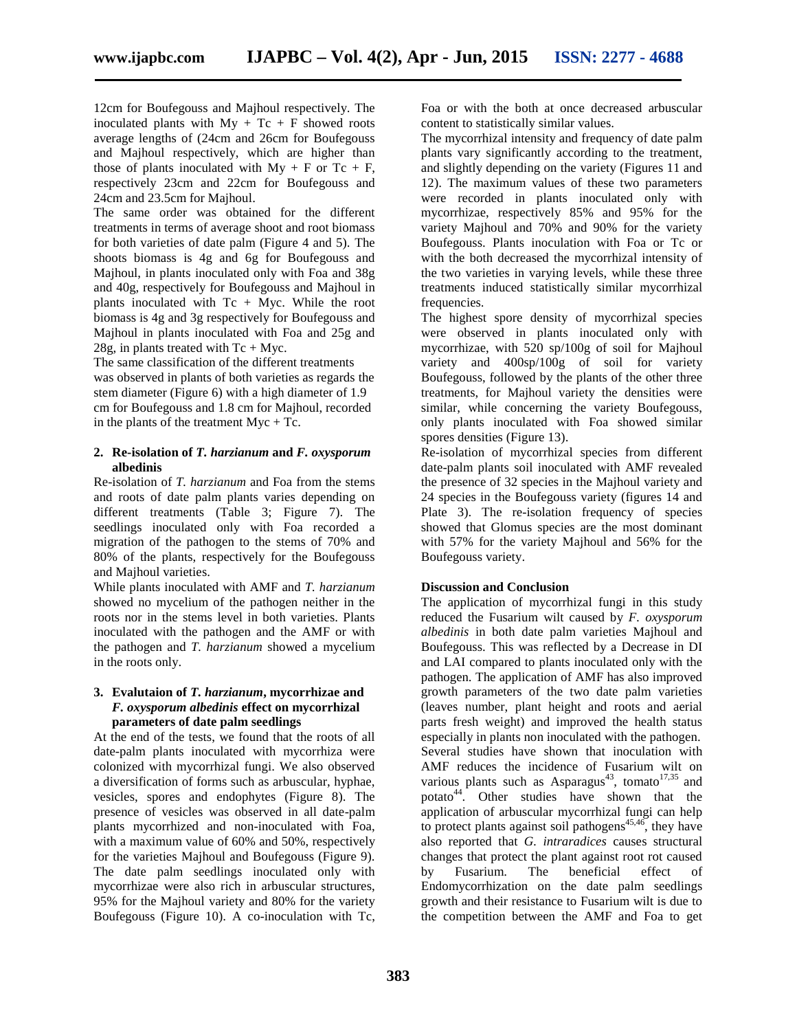12cm for Boufegouss and Majhoul respectively. The inoculated plants with  $My + TC + F$  showed roots average lengths of (24cm and 26cm for Boufegouss and Majhoul respectively, which are higher than those of plants inoculated with  $My + F$  or  $Tc + F$ , respectively 23cm and 22cm for Boufegouss and 24cm and 23.5cm for Majhoul.

The same order was obtained for the different treatments in terms of average shoot and root biomass for both varieties of date palm (Figure 4 and 5). The shoots biomass is 4g and 6g for Boufegouss and Majhoul, in plants inoculated only with Foa and 38g and 40g, respectively for Boufegouss and Majhoul in plants inoculated with  $Tc + Myc$ . While the root biomass is 4g and 3g respectively for Boufegouss and Majhoul in plants inoculated with Foa and 25g and 28g, in plants treated with  $Tc + Myc$ .

The same classification of the different treatments was observed in plants of both varieties as regards the stem diameter (Figure 6) with a high diameter of 1.9 cm for Boufegouss and 1.8 cm for Majhoul, recorded in the plants of the treatment  $Myc + Tc$ .

#### **2. Re-isolation of** *T. harzianum* **and** *F. oxysporum* **albedinis**

Re-isolation of*T. harzianum* and Foa from the stems and roots of date palm plants varies depending on different treatments (Table 3; Figure 7). The seedlings inoculated only with Foa recorded a migration of the pathogen to the stems of 70% and 80% of the plants, respectively for the Boufegouss and Majhoul varieties.

While plants inoculated with AMF and *T. harzianum* showed no mycelium of the pathogen neither in the roots nor in the stems level in both varieties. Plants inoculated with the pathogen and the AMF or with the pathogen and *T. harzianum* showed a mycelium in the roots only.

#### **3. Evalutaion of** *T. harzianum***, mycorrhizae and** *F. oxysporum albedinis* **effect on mycorrhizal parameters of date palm seedlings**

At the end of the tests, we found that the roots of all date-palm plants inoculated with mycorrhiza were colonized with mycorrhizal fungi. We also observed a diversification of forms such as arbuscular, hyphae, vesicles, spores and endophytes (Figure 8). The presence of vesicles was observed in all date-palm plants mycorrhized and non-inoculated with Foa, with a maximum value of 60% and 50%, respectively for the varieties Majhoul and Boufegouss (Figure 9). The date palm seedlings inoculated only with by mycorrhizae were also rich in arbuscular structures, 95% for the Majhoul variety and 80% for the variety Boufegouss (Figure 10). A co-inoculation with Tc,

Foa or with the both at once decreased arbuscular content to statistically similar values.

The mycorrhizal intensity and frequency of date palm plants vary significantly according to the treatment, and slightly depending on the variety (Figures 11 and 12). The maximum values of these two parameters were recorded in plants inoculated only with mycorrhizae, respectively 85% and 95% for the variety Majhoul and 70% and 90% for the variety Boufegouss. Plants inoculation with Foa or Tc or with the both decreased the mycorrhizal intensity of the two varieties in varying levels, while these three treatments induced statistically similar mycorrhizal frequencies.

The highest spore density of mycorrhizal species were observed in plants inoculated only with mycorrhizae, with 520 sp/100g of soil for Majhoul variety and 400sp/100g of soil for variety Boufegouss, followed by the plants of the other three treatments, for Majhoul variety the densities were similar, while concerning the variety Boufegouss, only plants inoculated with Foa showed similar spores densities (Figure 13).

Re-isolation of mycorrhizal species from different date-palm plants soil inoculated with AMF revealed the presence of 32 species in the Majhoul variety and 24 species in the Boufegouss variety (figures 14 and Plate 3). The re-isolation frequency of species showed that Glomus species are the most dominant with 57% for the variety Majhoul and 56% for the Boufegouss variety.

## **Discussion and Conclusion**

The application of mycorrhizal fungi in this study reduced the Fusarium wilt caused by *F. oxysporum albedinis* in both date palm varieties Majhoul and Boufegouss. This was reflected by a Decrease in DI and LAI compared to plants inoculated only with the pathogen. The application of AMF has also improved growth parameters of the two date palm varieties (leaves number, plant height and roots and aerial parts fresh weight) and improved the health status especially in plants non inoculated with the pathogen. Several studies have shown that inoculation with AMF reduces the incidence of Fusarium wilt on various plants such as Asparagus<sup>43</sup>, tomato $17,35$  and potato<sup>44</sup>. Other studies have shown that the application of arbuscular mycorrhizal fungi can help to protect plants against soil pathogens<sup>45,46</sup>, they have also reported that *G. intraradices* causes structural changes that protect the plant against root rot caused Fusarium. The beneficial effect of Endomycorrhization on the date palm seedlings growth and their resistance to Fusarium wilt is due to .the competition between the AMF and Foa to get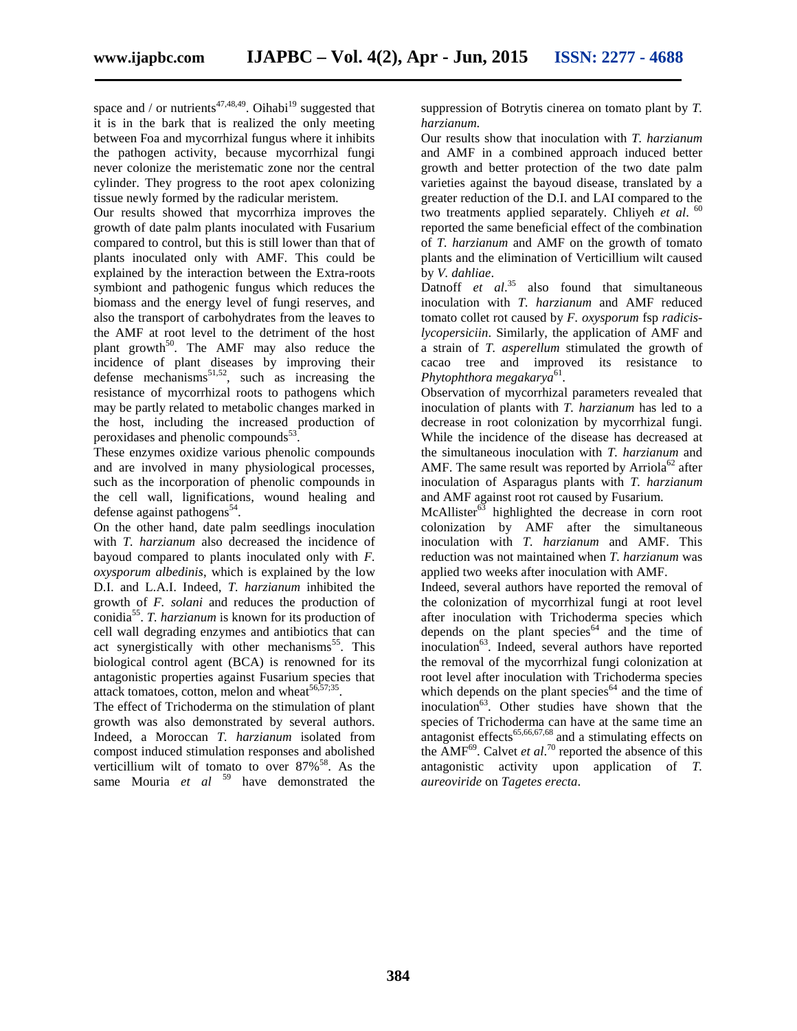space and / or nutrients<sup>47,48,49</sup>. Oihabi<sup>19</sup> suggested that it is in the bark that is realized the only meeting between Foa and mycorrhizal fungus where it inhibits the pathogen activity, because mycorrhizal fungi never colonize the meristematic zone nor the central cylinder. They progress to the root apex colonizing tissue newly formed by the radicular meristem.

Our results showed that mycorrhiza improves the growth of date palm plants inoculated with Fusarium compared to control, but this is still lower than that of plants inoculated only with AMF. This could be explained by the interaction between the Extra-roots symbiont and pathogenic fungus which reduces the biomass and the energy level of fungi reserves, and also the transport of carbohydrates from the leaves to the AMF at root level to the detriment of the host plant growth<sup>50</sup>. The AMF may also reduce the incidence of plant diseases by improving their defense mechanisms<sup>51,52</sup>, such as increasing the resistance of mycorrhizal roots to pathogens which may be partly related to metabolic changes marked in the host, including the increased production of peroxidases and phenolic compounds $5<sup>5</sup>$ .

These enzymes oxidize various phenolic compounds and are involved in many physiological processes, such as the incorporation of phenolic compounds in the cell wall, lignifications, wound healing and defense against pathogens<sup>54</sup>.

On the other hand, date palm seedlings inoculation with *T. harzianum* also decreased the incidence of bayoud compared to plants inoculated only with *F. oxysporum albedinis*, which is explained by the low D.I. and L.A.I. Indeed, *T. harzianum* inhibited the growth of *F. solani* and reduces the production of conidia<sup>55</sup> . *T. harzianum* is known for its production of cell wall degrading enzymes and antibiotics that can act synergistically with other mechanisms<sup>55</sup>. This biological control agent (BCA) is renowned for its antagonistic properties against Fusarium species that attack tomatoes, cotton, melon and wheat $56,57,35$ .

The effect of Trichoderma on the stimulation of plant growth was also demonstrated by several authors. Indeed, a Moroccan *T. harzianum* isolated from compost induced stimulation responses and abolished verticillium wilt of tomato to over  $87\%$ <sup>58</sup>. As the same Mouria *et al* <sup>59</sup> have demonstrated the

suppression of Botrytis cinerea on tomato plant by *T. harzianum.*

Our results show that inoculation with *T. harzianum* and AMF in a combined approach induced better growth and better protection of the two date palm varieties against the bayoud disease, translated by a greater reduction of the D.I. and LAI compared to the two treatments applied separately. Chliveh *et al.* <sup>60</sup> reported the same beneficial effect of the combination of *T. harzianum* and AMF on the growth of tomato plants and the elimination of Verticillium wilt caused by *V. dahliae*.

Datnoff *et al.*<sup>35</sup> also found that simultaneous inoculation with *T. harzianum* and AMF reduced tomato collet rot caused by *F. oxysporum* fsp *radicislycopersiciin*. Similarly, the application of AMF and a strain of *T. asperellum* stimulated the growth of cacao tree and improved its resistance to *Phytophthora megakarya*<sup>61</sup> .

Observation of mycorrhizal parameters revealed that inoculation of plants with *T. harzianum* has led to a decrease in root colonization by mycorrhizal fungi. While the incidence of the disease has decreased at the simultaneous inoculation with *T. harzianum* and AMF. The same result was reported by Arriola<sup>62</sup> after inoculation of Asparagus plants with *T. harzianum* and AMF against root rot caused by Fusarium.

 $McAllister^{63}$  highlighted the decrease in corn root colonization by AMF after the simultaneous inoculation with *T. harzianum* and AMF. This reduction was not maintained when *T. harzianum* was applied two weeks after inoculation with AMF.

Indeed, several authors have reported the removal of the colonization of mycorrhizal fungi at root level after inoculation with Trichoderma species which depends on the plant species $64$  and the time of inoculation<sup>63</sup>. Indeed, several authors have reported the removal of the mycorrhizal fungi colonization at root level after inoculation with Trichoderma species which depends on the plant species<sup> $64$ </sup> and the time of inoculation<sup>63</sup>. Other studies have shown that the species of Trichoderma can have at the same time an antagonist effects<sup>65,66,67,68</sup> and a stimulating effects on the  $\text{AMF}^{69}$ . Calvet *et al*.<sup>70</sup> reported the absence of this antagonistic activity upon application of *T. aureoviride* on *Tagetes erecta*.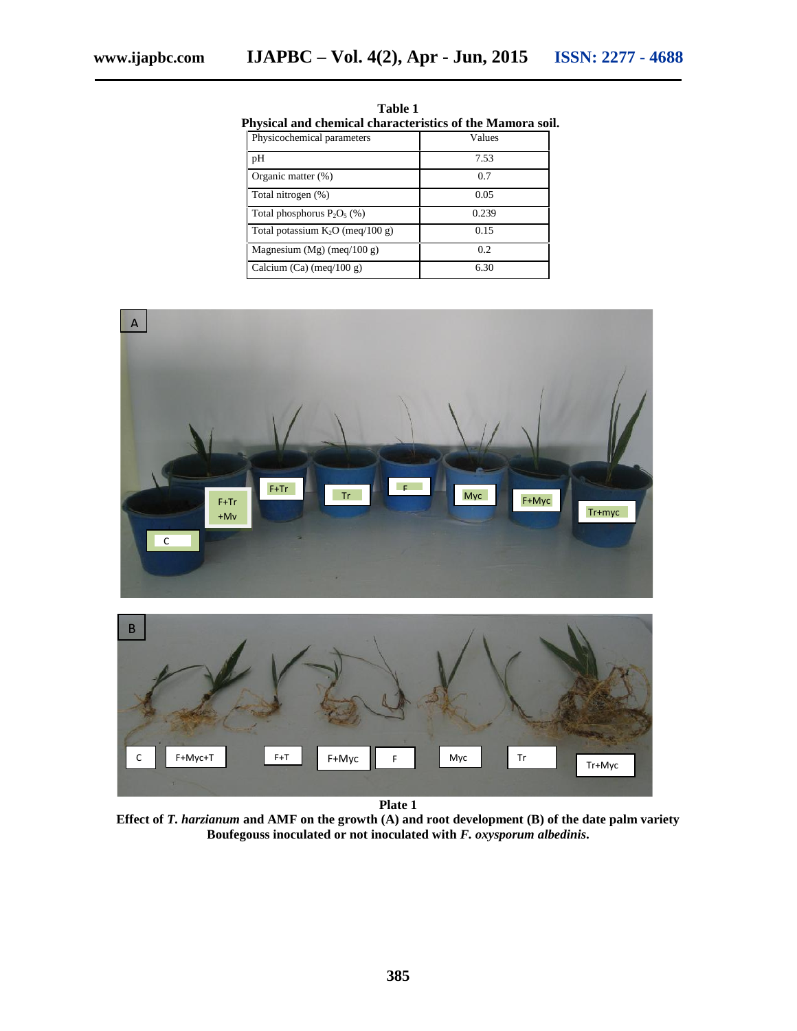| Physical and chemical characteristics of the Mamora soil. |        |  |  |  |
|-----------------------------------------------------------|--------|--|--|--|
| Physicochemical parameters                                | Values |  |  |  |
| pH                                                        | 7.53   |  |  |  |
| Organic matter (%)                                        | 0.7    |  |  |  |
| Total nitrogen (%)                                        | 0.05   |  |  |  |
| Total phosphorus $P_2O_5$ (%)                             | 0.239  |  |  |  |
| Total potassium $K_2O$ (meq/100 g)                        | 0.15   |  |  |  |
| Magnesium (Mg) (meq/100 g)                                | 0.2    |  |  |  |
| Calcium (Ca) (meq/100 g)                                  | 6.30   |  |  |  |

**Table 1**

F+T F+Myc F Myc Myc Tr Tr+Myc  $F+Myc+T$   $F+T$   $F+Myc$   $F+Myc$  $C$   $F+Myc+T$ 5 B Tr Tr Myc F+Myc Tr+myc Tr+myc F+Tr +My c **C** A

**Plate 1**

**Effect of** *T. harzianum* **and AMF on the growth (A) and root development (B) of the date palm variety Boufegouss inoculated or not inoculated with** *F. oxysporum albedinis***.**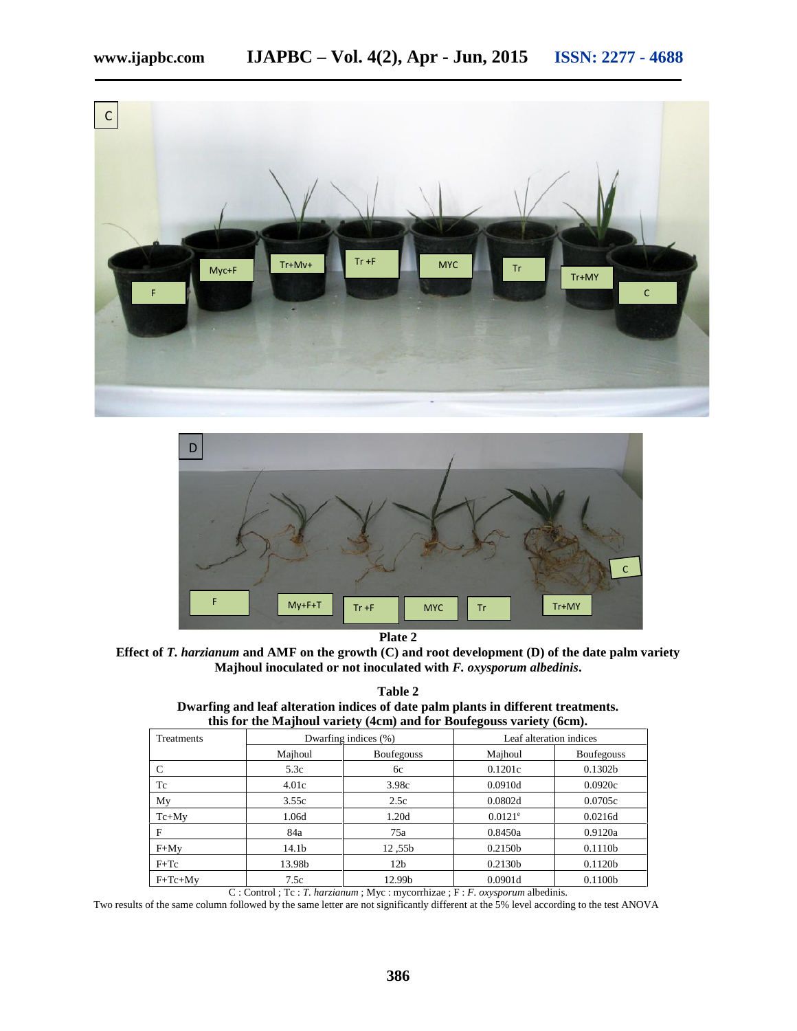**C C** 

Tr+MY **ACCEPTED** 



F B



**Plate 2**

**Effect of** *T. harzianum* **and AMF on the growth (C) and root development (D) of the date palm variety Majhoul inoculated or not inoculated with** *F. oxysporum albedinis***.**

| Table 2                                                                           |
|-----------------------------------------------------------------------------------|
| Dwarfing and leaf alteration indices of date palm plants in different treatments. |
| this for the Majhoul variety (4cm) and for Boufegouss variety (6cm).              |

|            |         |                         | ີ                       |                     |  |
|------------|---------|-------------------------|-------------------------|---------------------|--|
| Treatments |         | Dwarfing indices $(\%)$ | Leaf alteration indices |                     |  |
|            | Majhoul | Boufegouss              | Majhoul                 | <b>Boufegouss</b>   |  |
|            | 5.3c    | 6c                      | 0.1201c                 | 0.1302 <sub>b</sub> |  |
| Tc         | 4.01c   | 3.98c                   | 0.0910d                 | 0.0920c             |  |
| My         | 3.55c   | 2.5c                    | 0.0802d                 | 0.0705c             |  |
| $Tc+My$    | 1.06d   | 1.20d                   | $0.0121$ <sup>e</sup>   | 0.0216d             |  |
| F          | 84a     | 75a                     | 0.8450a                 | 0.9120a             |  |
| $F+My$     | 14.1b   | 12,55b                  | 0.2150b                 | 0.1110b             |  |
| $F+Tc$     | 13.98b  | 12b                     | 0.2130b                 | 0.1120b             |  |
| $F+Tc+My$  | 7.5c    | 12.99b                  | 0.0901d                 | 0.1100b             |  |

C : Control ; Tc : *T. harzianum* ; Myc : mycorrhizae ; F : *F. oxysporum* albedinis.

Two results of the same column followed by the same letter are not significantly different at the 5% level according to the test ANOVA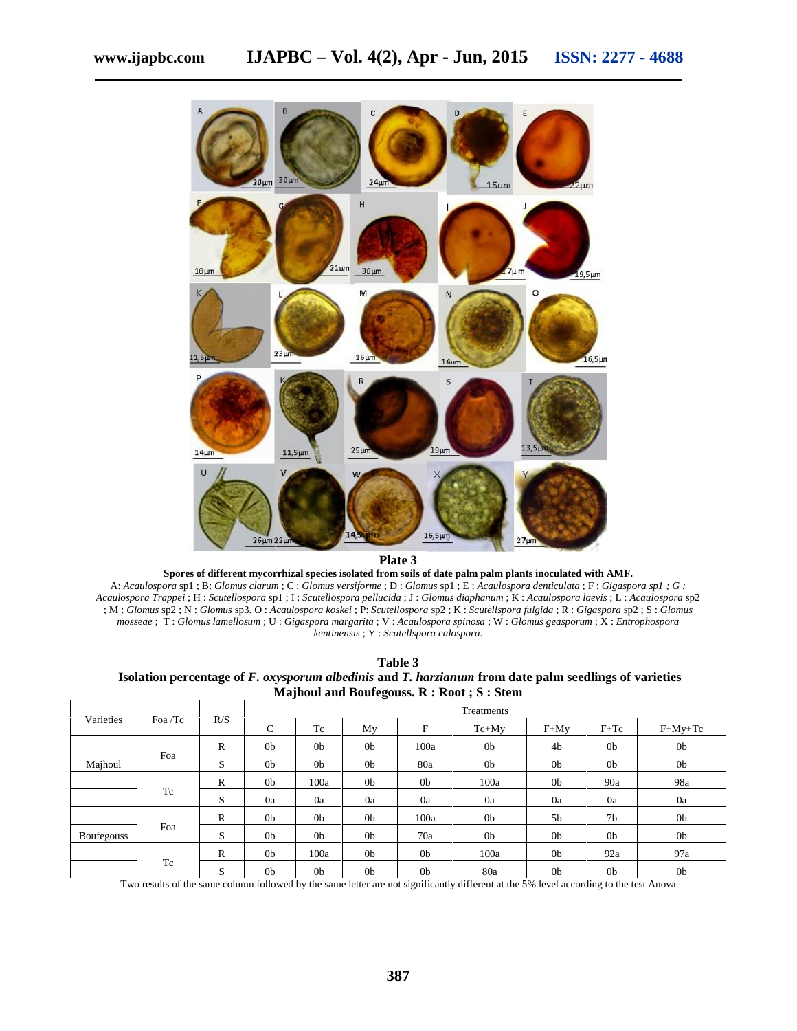

**Plate 3**

**Spores of different mycorrhizal species isolated from soils of date palm palm plants inoculated with AMF.** A: *Acaulospora* sp1 ; B: *Glomus clarum* ; C : *Glomus versiforme* ; D : *Glomus* sp1 ; E : *Acaulospora denticulata* ; F : *Gigaspora sp1 ; G : Acaulospora Trappei* ; H : *Scutellospora* sp1 ; I : *Scutellospora pellucida* ; J :*Glomus diaphanum* ; K : *Acaulospora laevis* ; L : *Acaulospora* sp2 ; M : *Glomus* sp2 ; N : *Glomus* sp3. O : *Acaulospora koskei* ; P: *Scutellospora* sp2 ; K : *Scutellspora fulgida* ; R : *Gigaspora* sp2 ; S : *Glomus mosseae* ; T : *Glomus lamellosum* ; U : *Gigaspora margarita* ; V : *Acaulospora spinosa* ; W : *Glomus geasporum* ; X : *Entrophospora kentinensis* ; Y : *Scutellspora calospora.*

**Table 3 Isolation percentage of** *F. oxysporum albedinis* **and** *T. harzianum* **from date palm seedlings of varieties Majhoul and Boufegouss. R : Root ; S : Stem**

|                      |                |              |                | $\cdot$        | ັ              |                |                |                |                |                |
|----------------------|----------------|--------------|----------------|----------------|----------------|----------------|----------------|----------------|----------------|----------------|
| Varieties<br>Foa /Tc |                | R/S          | Treatments     |                |                |                |                |                |                |                |
|                      |                |              | C              | Tc             | My             | F              | $Tc+My$        | $F+My$         | $F+Tc$         | $F+My+Tc$      |
|                      | Foa<br>Majhoul | $\mathbb{R}$ | 0 <sub>b</sub> | 0 <sub>b</sub> | 0 <sub>b</sub> | 100a           | 0 <sub>b</sub> | 4b             | 0 <sub>b</sub> | 0 <sub>b</sub> |
|                      |                | S            | 0 <sub>b</sub> | 0 <sub>b</sub> | 0 <sub>b</sub> | 80a            | 0 <sub>b</sub> | 0 <sub>b</sub> | 0 <sub>b</sub> | 0 <sub>b</sub> |
|                      | Tc             | $\mathbb{R}$ | 0 <sub>b</sub> | 100a           | 0 <sub>b</sub> | 0 <sub>b</sub> | 100a           | 0 <sub>b</sub> | 90a            | 98a            |
|                      |                | S            | 0a             | 0a             | 0a             | 0a             | 0a             | 0a             | 0a             | 0a             |
|                      | Foa            | $\mathbb{R}$ | 0 <sub>b</sub> | 0 <sub>b</sub> | 0 <sub>b</sub> | 100a           | 0 <sub>b</sub> | 5b             | 7 <sub>b</sub> | 0 <sub>b</sub> |
| <b>Boufegouss</b>    |                | S            | 0 <sub>b</sub> | 0 <sub>b</sub> | 0 <sub>b</sub> | 70a            | 0 <sub>b</sub> | 0 <sub>b</sub> | 0 <sub>b</sub> | 0 <sub>b</sub> |
|                      | Tc             | R            | 0 <sub>b</sub> | 100a           | 0 <sub>b</sub> | 0 <sub>b</sub> | 100a           | 0 <sub>b</sub> | 92a            | 97a            |
|                      |                | S            | 0 <sub>b</sub> | 0 <sub>b</sub> | 0 <sub>b</sub> | 0 <sub>b</sub> | 80a            | 0 <sub>b</sub> | 0 <sub>b</sub> | 0 <sub>b</sub> |

Two results of the same column followed by the same letter are not significantly different at the 5% level according to the test Anova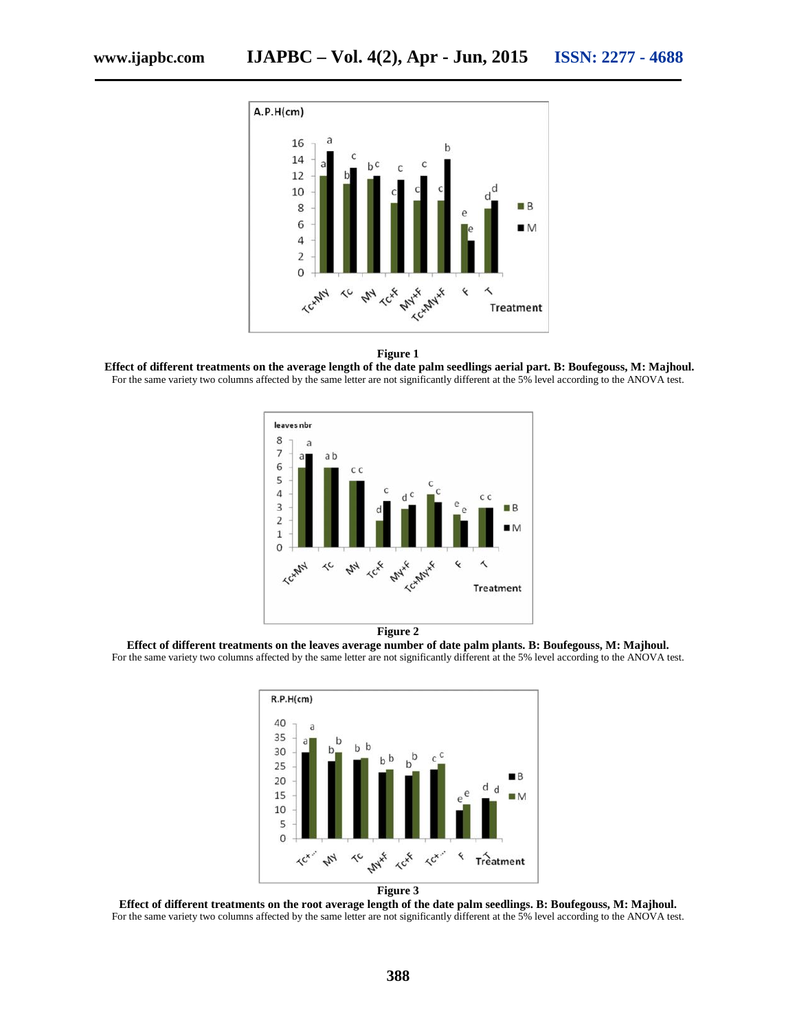



**Effect of different treatments on the average length of the date palm seedlings aerial part. B: Boufegouss, M: Majhoul.** For the same variety two columns affected by the same letter are not significantly different at the 5% level according to the ANOVA test.







**Effect of different treatments on the root average length of the date palm seedlings. B: Boufegouss, M: Majhoul.** For the same variety two columns affected by the same letter are not significantly different at the 5% level according to the ANOVA test.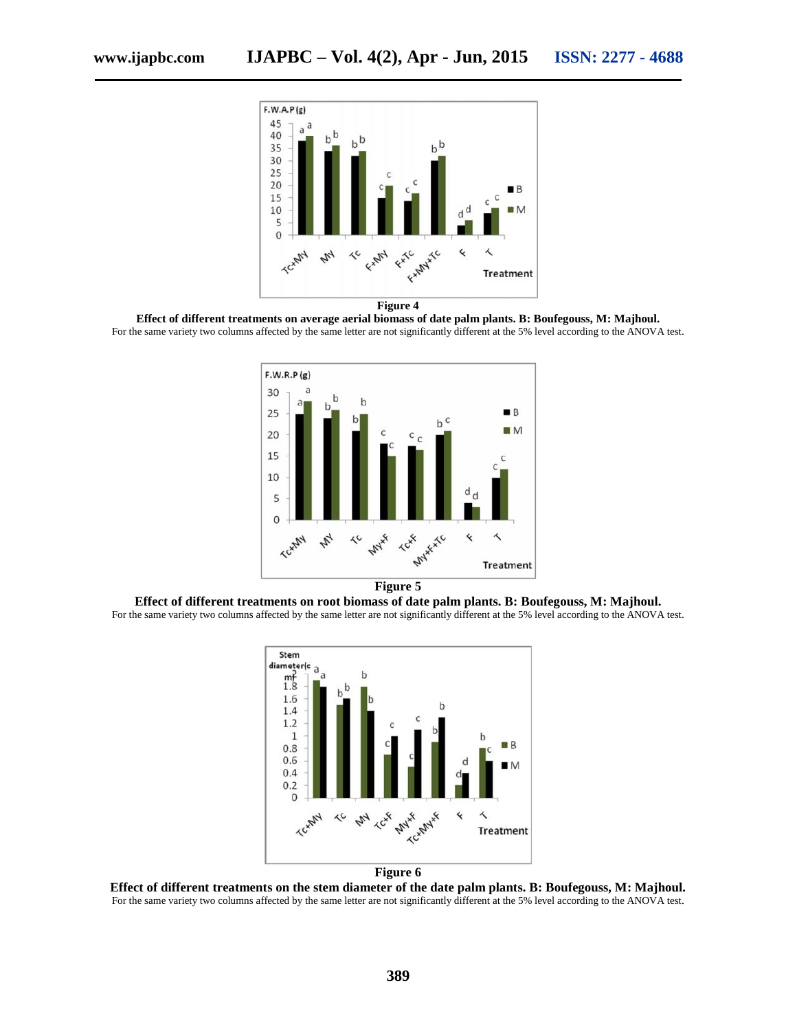

**Figure 4**







**Effect of different treatments on root biomass of date palm plants. B: Boufegouss, M: Majhoul.** For the same variety two columns affected by the same letter are not significantly different at the 5% level according to the ANOVA test.



**Figure 6**

**Effect of different treatments on the stem diameter of the date palm plants. B: Boufegouss, M: Majhoul.** For the same variety two columns affected by the same letter are not significantly different at the 5% level according to the ANOVA test.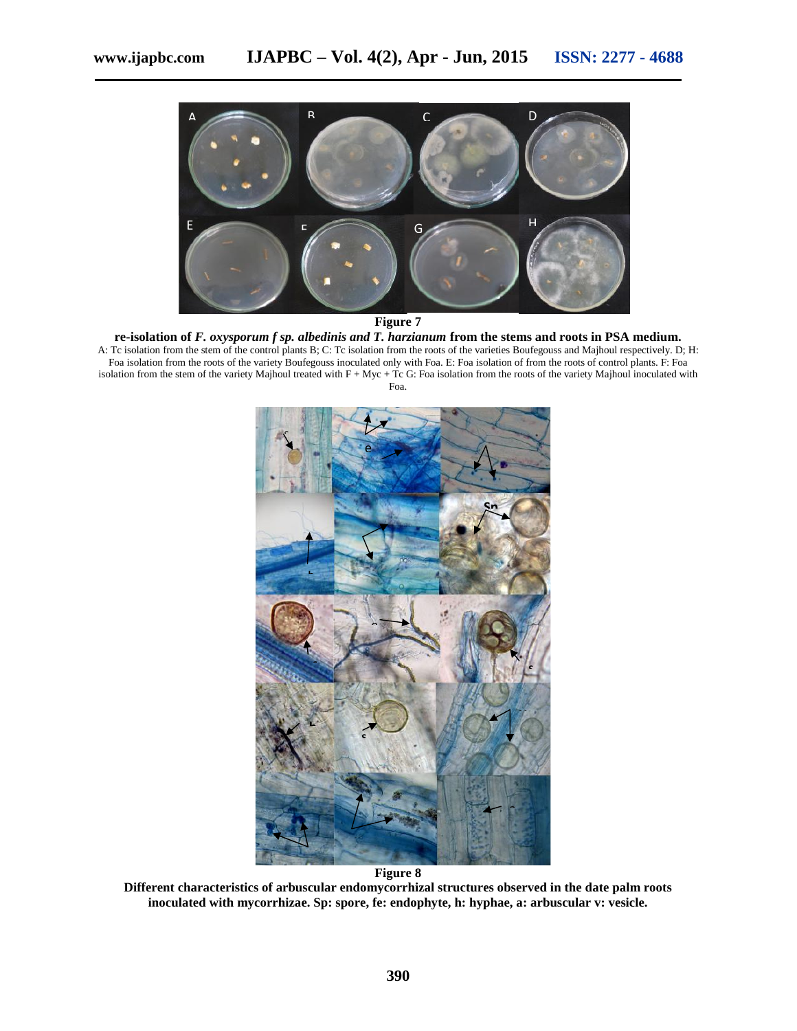

**Figure 7**

**re-isolation of** *F. oxysporum f sp. albedinis and T. harzianum* **from the stems and roots in PSA medium.** A: Tc isolation from the stem of the control plants B; C: Tc isolation from the roots of the varieties Boufegouss and Majhoul respectively. D; H: Foa isolation from the roots of the variety Boufegouss inoculated only with Foa. E: Foa isolation of from the roots of control plants. F: Foa isolation from the stem of the variety Majhoul treated with F + Myc + Tc G: Foa isolation from the roots of the variety Majhoul inoculated with Foa.



**Different characteristics of arbuscular endomycorrhizal structures observed in the date palm roots** ² inoculated with mycorrhizae. Sp: spore, fe: endophyte, h: hyphae, a: arbuscular v: vesicle.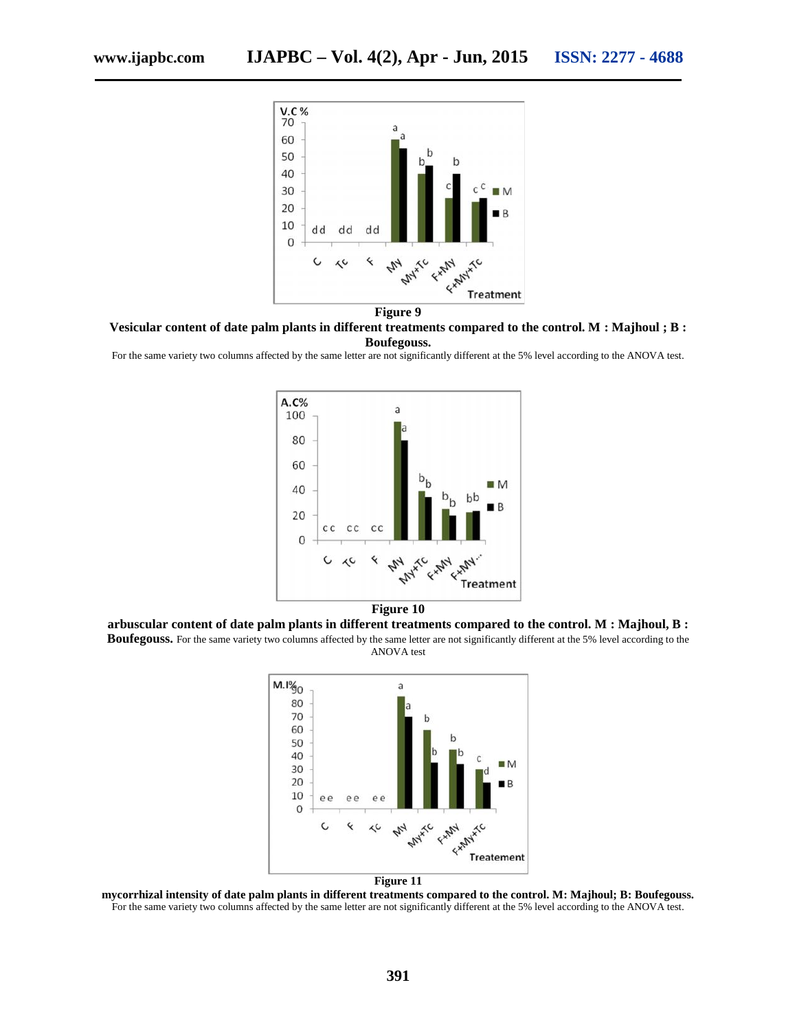



For the same variety two columns affected by the same letter are not significantly different at the 5% level according to the ANOVA test.



**Figure 10**





**mycorrhizal intensity of date palm plants in different treatments compared to the control. M: Majhoul; B: Boufegouss.** For the same variety two columns affected by the same letter are not significantly different at the 5% level according to the ANOVA test.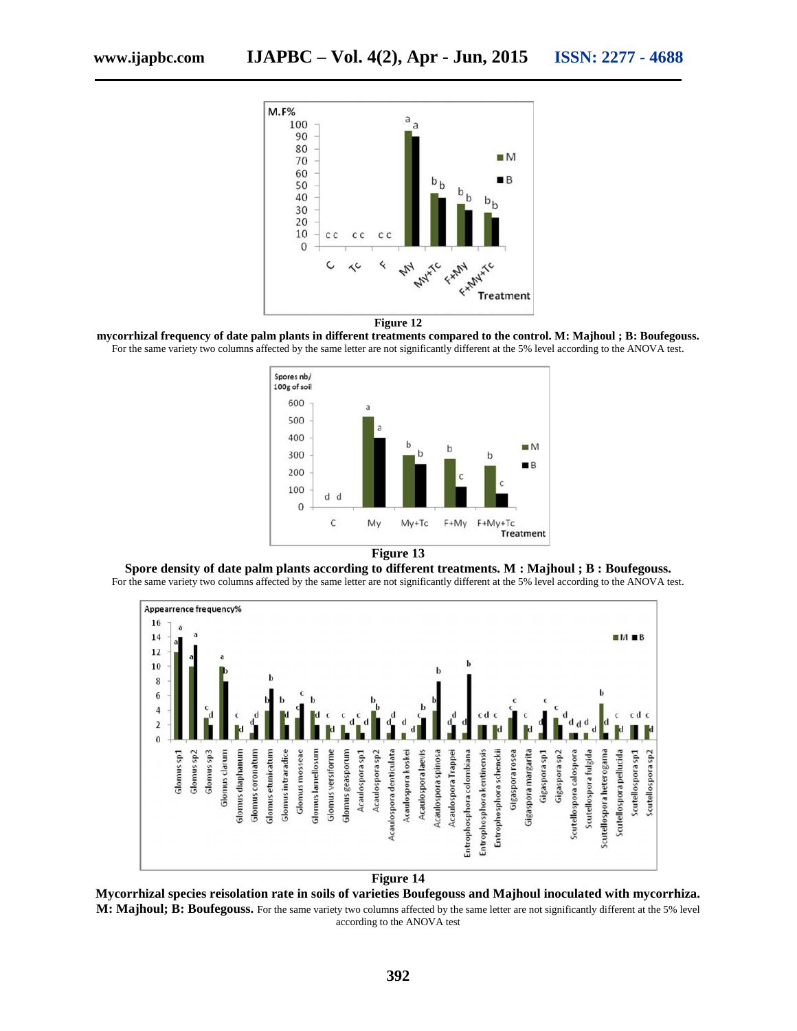



**mycorrhizal frequency of date palm plants in different treatments compared to the control. M: Majhoul ; B: Boufegouss.** For the same variety two columns affected by the same letter are not significantly different at the 5% level according to the ANOVA test.



**Figure 13**





**Mycorrhizal species reisolation rate in soils of varieties Boufegouss and Majhoul inoculated with mycorrhiza.** M: Majhoul; B: Boufegouss. For the same variety two columns affected by the same letter are not significantly different at the 5% level according to the ANOVA test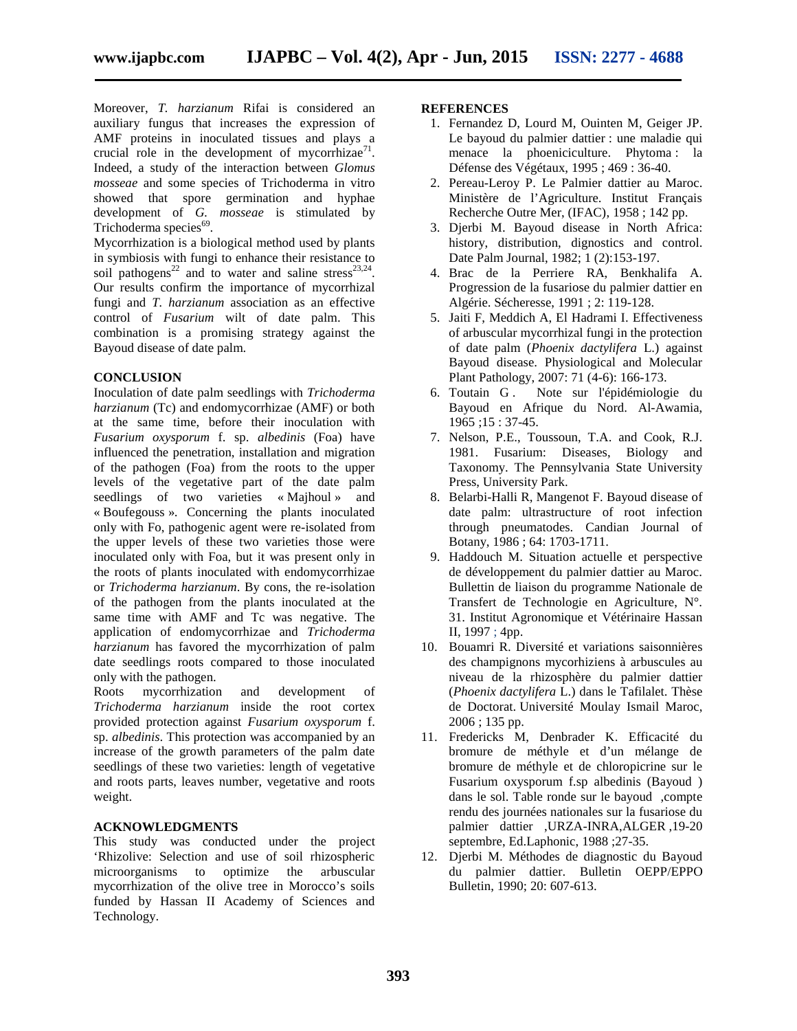Moreover, *T. harzianum* Rifai is considered an auxiliary fungus that increases the expression of AMF proteins in inoculated tissues and plays a crucial role in the development of mycorrhizae $^{71}$ . Indeed, a study of the interaction between *Glomus mosseae* and some species of Trichoderma in vitro showed that spore germination and hyphae development of *G. mosseae* is stimulated by Trichoderma species<sup>69</sup> .

Mycorrhization is a biological method used by plants in symbiosis with fungi to enhance their resistance to soil pathogens<sup>22</sup> and to water and saline stress<sup>23,24</sup>. Our results confirm the importance of mycorrhizal fungi and *T. harzianum* association as an effective control of *Fusarium* wilt of date palm. This combination is a promising strategy against the Bayoud disease of date palm.

## **CONCLUSION**

Inoculation of date palm seedlings with *Trichoderma harzianum* (Tc) and endomycorrhizae (AMF) or both at the same time, before their inoculation with *Fusarium oxysporum* f. sp. *albedinis* (Foa) have influenced the penetration, installation and migration of the pathogen (Foa) from the roots to the upper levels of the vegetative part of the date palm seedlings of two varieties « Majhoul » and « Boufegouss ». Concerning the plants inoculated only with Fo, pathogenic agent were re-isolated from the upper levels of these two varieties those were inoculated only with Foa, but it was present only in the roots of plants inoculated with endomycorrhizae or *Trichoderma harzianum*. By cons, the re-isolation of the pathogen from the plants inoculated at the same time with AMF and Tc was negative. The application of endomycorrhizae and *Trichoderma harzianum* has favored the mycorrhization of palm date seedlings roots compared to those inoculated only with the pathogen.

Roots mycorrhization and development of *Trichoderma harzianum* inside the root cortex provided protection against *Fusarium oxysporum* f. sp. *albedinis*. This protection was accompanied by an increase of the growth parameters of the palm date seedlings of these two varieties: length of vegetative and roots parts, leaves number, vegetative and roots weight.

## **ACKNOWLEDGMENTS**

This study was conducted under the project 'Rhizolive: Selection and use of soil rhizospheric microorganisms to optimize the arbuscular mycorrhization of the olive tree in Morocco's soils funded by Hassan II Academy of Sciences and Technology.

#### **REFERENCES**

- 1. Fernandez D, Lourd M, Ouinten M, Geiger JP. Le bayoud du palmier dattier : une maladie qui menace la phoeniciculture. Phytoma : la Défense des Végétaux, 1995 ; 469 : 36-40.
- 2. Pereau-Leroy P. Le Palmier dattier au Maroc. Ministère de l'Agriculture. Institut Français Recherche Outre Mer, (IFAC), 1958 ; 142 pp.
- 3. Djerbi M. Bayoud disease in North Africa: history, distribution, dignostics and control. Date Palm Journal, 1982; 1 (2):153-197.
- 4. Brac de la Perriere RA, Benkhalifa A. Progression de la fusariose du palmier dattier en Algérie. Sécheresse, 1991 ; 2: 119-128.
- 5. Jaiti F, Meddich A, El Hadrami I. Effectiveness of arbuscular mycorrhizal fungi in the protection of date palm (*Phoenix dactylifera* L.) against Bayoud disease. Physiological and Molecular Plant Pathology, 2007: 71 (4-6): 166-173.
- 6. Toutain G . Note sur l'épidémiologie du Bayoud en Afrique du Nord. Al-Awamia, 1965 ;15 : 37-45.
- 7. Nelson, P.E., Toussoun, T.A. and Cook, R.J. 1981. Fusarium: Diseases, Biology and Taxonomy. The Pennsylvania State University Press, University Park.
- 8. Belarbi-Halli R, Mangenot F. Bayoud disease of date palm: ultrastructure of root infection through pneumatodes. Candian Journal of Botany, 1986 ; 64: 1703-1711.
- 9. Haddouch M. Situation actuelle et perspective de développement du palmier dattier au Maroc. Bullettin de liaison du programme Nationale de Transfert de Technologie en Agriculture, N°. 31. Institut Agronomique et Vétérinaire Hassan II, 1997 ; 4pp.
- 10. Bouamri R. Diversité et variations saisonnières des champignons mycorhiziens à arbuscules au niveau de la rhizosphère du palmier dattier (*Phoenix dactylifera* L.) dans le Tafilalet. Thèse de Doctorat. Université Moulay Ismail Maroc, 2006 ; 135 pp.
- 11. Fredericks M, Denbrader K. Efficacité du bromure de méthyle et d'un mélange de bromure de méthyle et de chloropicrine sur le Fusarium oxysporum f.sp albedinis (Bayoud ) dans le sol. Table ronde sur le bayoud ,compte rendu des journées nationales sur la fusariose du palmier dattier ,URZA-INRA,ALGER ,19-20 septembre, Ed.Laphonic, 1988 ;27-35.
- 12. Djerbi M. Méthodes de diagnostic du Bayoud du palmier dattier. Bulletin OEPP/EPPO Bulletin, 1990; 20: 607-613.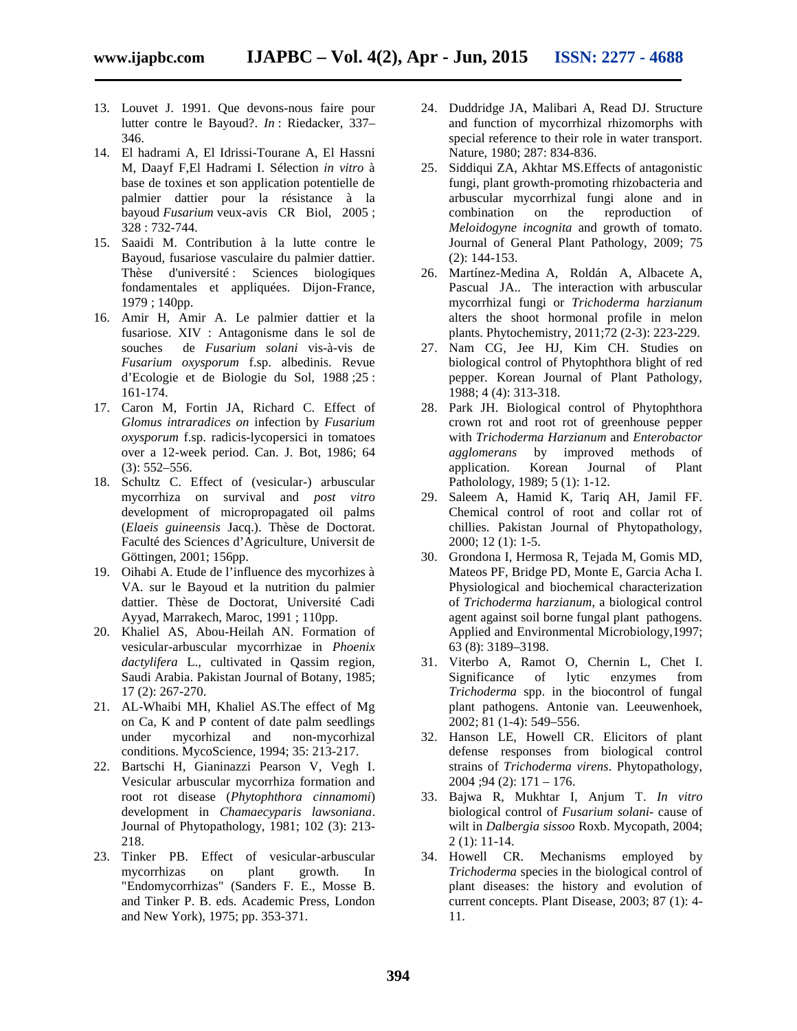- 13. Louvet J. 1991. Que devons-nous faire pour lutter contre le Bayoud?. *In* : Riedacker, 337– 346.
- 14. El hadrami A, El Idrissi-Tourane A, El Hassni M, Daayf F,El Hadrami I. Sélection *in vitro* à base de toxines et son application potentielle de palmier dattier pour la résistance à la bayoud *Fusarium* veux-avis CR Biol, 2005 ; 328 : 732-744.
- 15. Saaidi M. Contribution à la lutte contre le Bayoud, fusariose vasculaire du palmier dattier. Thèse d'université : Sciences biologiques fondamentales et appliquées. Dijon-France, 1979 ; 140pp.
- 16. Amir H, Amir A. Le palmier dattier et la fusariose. XIV : Antagonisme dans le sol de souches de *Fusarium solani* vis-à-vis de *Fusarium oxysporum* f.sp. albedinis. Revue d'Ecologie et de Biologie du Sol, 1988 ;25 : 161-174.
- 17. Caron M, Fortin JA, Richard C. Effect of *Glomus intraradices on* infection by *Fusarium oxysporum* f.sp. radicis-lycopersici in tomatoes over a 12-week period. Can. J. Bot, 1986; 64 (3): 552–556.
- 18. Schultz C. Effect of (vesicular-) arbuscular mycorrhiza on survival and *post vitro* development of micropropagated oil palms (*Elaeis guineensis* Jacq.). Thèse de Doctorat. Faculté des Sciences d'Agriculture, Universit de Göttingen, 2001; 156pp.
- 19. Oihabi A. Etude de l'influence des mycorhizes à VA. sur le Bayoud et la nutrition du palmier dattier. Thèse de Doctorat, Université Cadi Ayyad, Marrakech, Maroc, 1991 ; 110pp.
- 20. Khaliel AS, Abou-Heilah AN. Formation of vesicular-arbuscular mycorrhizae in *Phoenix dactylifera* L., cultivated in Qassim region, Saudi Arabia. Pakistan Journal of Botany, 1985; 17 (2): 267-270.
- 21. AL-Whaibi MH, Khaliel AS.The effect of Mg on Ca, K and P content of date palm seedlings under mycorhizal and non-mycorhizal conditions. MycoScience, 1994; 35: 213-217.
- 22. Bartschi H, Gianinazzi Pearson V, Vegh I. Vesicular arbuscular mycorrhiza formation and root rot disease (*Phytophthora cinnamomi*) development in *Chamaecyparis lawsoniana*. Journal of Phytopathology, 1981; 102 (3): 213- 218.
- 23. Tinker PB. Effect of vesicular-arbuscular mycorrhizas on plant growth. In "Endomycorrhizas" (Sanders F. E., Mosse B. and Tinker P. B. eds. Academic Press, London and New York), 1975; pp. 353-371.
- 24. Duddridge JA, Malibari A, Read DJ. Structure and function of mycorrhizal rhizomorphs with special reference to their role in water transport. Nature, 1980; 287: 834-836.
- 25. Siddiqui ZA, Akhtar MS.Effects of antagonistic fungi, plant growth-promoting rhizobacteria and arbuscular mycorrhizal fungi alone and in combination on the reproduction of *Meloidogyne incognita* and growth of tomato. Journal of General Plant Pathology, 2009; 75 (2): 144-153.
- 26. Martínez-Medina A, Roldán A, Albacete A, Pascual JA.. The interaction with arbuscular mycorrhizal fungi or *Trichoderma harzianum* alters the shoot hormonal profile in melon plants. Phytochemistry, 2011;72 (2-3): 223-229.
- 27. Nam CG, Jee HJ, Kim CH. Studies on biological control of Phytophthora blight of red pepper. Korean Journal of Plant Pathology, 1988; 4 (4): 313-318.
- 28. Park JH. Biological control of Phytophthora crown rot and root rot of greenhouse pepper with *Trichoderma Harzianum* and *Enterobactor agglomerans* by improved methods of application. Korean Journal of Plant Patholology, 1989; 5 (1): 1-12.
- 29. Saleem A, Hamid K, Tariq AH, Jamil FF. Chemical control of root and collar rot of chillies. Pakistan Journal of Phytopathology, 2000; 12 (1): 1-5.
- 30. Grondona I, Hermosa R, Tejada M, Gomis MD, Mateos PF, Bridge PD, Monte E, Garcia Acha I. Physiological and biochemical characterization of *Trichoderma harzianum*, a biological control agent against soil borne fungal plant pathogens. Applied and Environmental Microbiology,1997; 63 (8): 3189–3198.
- 31. Viterbo A, Ramot O, Chernin L, Chet I. Significance of lytic enzymes from *Trichoderma* spp. in the biocontrol of fungal plant pathogens. Antonie van. Leeuwenhoek, 2002; 81 (1-4): 549–556.
- 32. Hanson LE, Howell CR. Elicitors of plant defense responses from biological control strains of *Trichoderma virens*. Phytopathology,  $2004$ ;  $94$  (2):  $171 - 176$ .
- 33. Bajwa R, Mukhtar I, Anjum T. *In vitro* biological control of *Fusarium solani*- cause of wilt in *Dalbergia sissoo* Roxb. Mycopath, 2004; 2 (1): 11-14.
- 34. Howell CR. Mechanisms employed by *Trichoderma* species in the biological control of plant diseases: the history and evolution of current concepts. Plant Disease, 2003; 87 (1): 4- 11.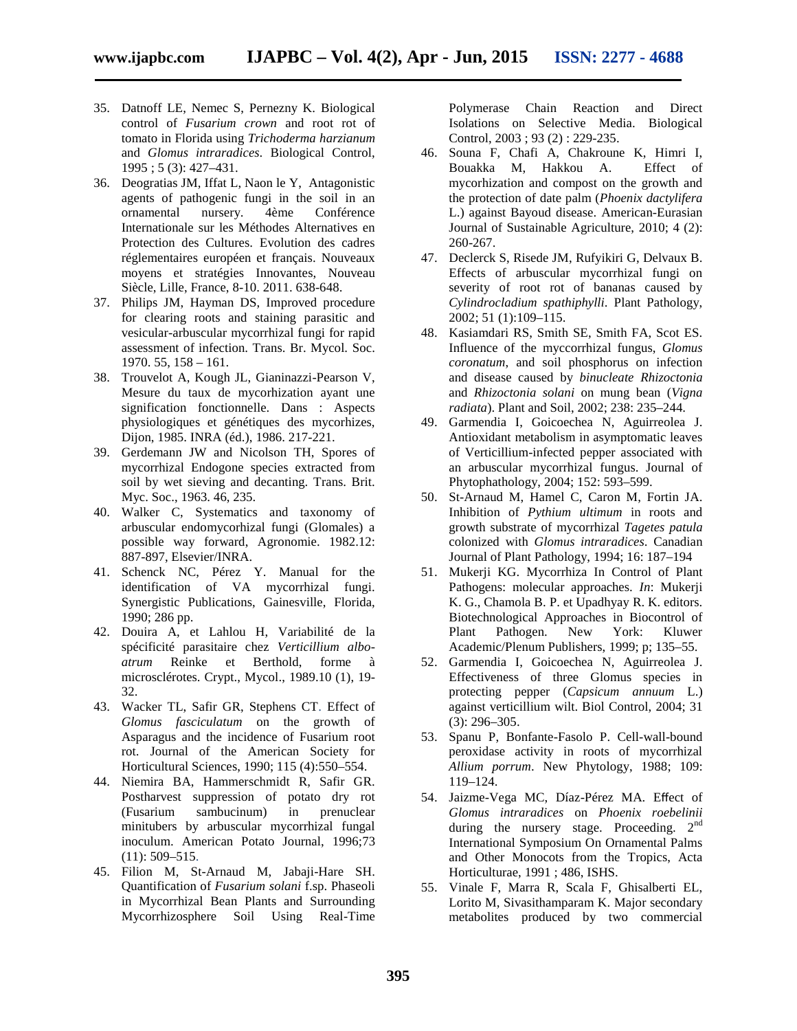- 
- 35. Datnoff LE, Nemec S, Pernezny K. Biological control of *Fusarium crown* and root rot of tomato in Florida using *Trichoderma harzianum* and *Glomus intraradices*. Biological Control, 1995 ; 5 (3): 427–431.
- 36. Deogratias JM, Iffat L, Naon le Y, Antagonistic agents of pathogenic fungi in the soil in an ornamental nursery. 4ème Conférence Internationale sur les Méthodes Alternatives en Protection des Cultures. Evolution des cadres réglementaires européen et français. Nouveaux moyens et stratégies Innovantes, Nouveau Siècle, Lille, France, 8-10. 2011. 638-648.
- 37. Philips JM, Hayman DS, Improved procedure for clearing roots and staining parasitic and vesicular-arbuscular mycorrhizal fungi for rapid assessment of infection. Trans. Br. Mycol. Soc. 1970. 55, 158 – 161.
- 38. Trouvelot A, Kough JL, Gianinazzi-Pearson V, Mesure du taux de mycorhization ayant une signification fonctionnelle. Dans : Aspects physiologiques et génétiques des mycorhizes, Dijon, 1985. INRA (éd.), 1986. 217-221.
- 39. Gerdemann JW and Nicolson TH, Spores of mycorrhizal Endogone species extracted from soil by wet sieving and decanting. Trans. Brit. Myc. Soc., 1963. 46, 235.
- 40. Walker C, Systematics and taxonomy of arbuscular endomycorhizal fungi (Glomales) a possible way forward, Agronomie. 1982.12: 887-897, Elsevier/INRA.
- 41. Schenck NC, Pérez Y. Manual for the identification of VA mycorrhizal fungi. Synergistic Publications, Gainesville, Florida, 1990; 286 pp.
- 42. Douira A, et Lahlou H, Variabilité de la spécificité parasitaire chez *Verticillium albo atrum* Reinke et Berthold, forme à microsclérotes. Crypt., Mycol., 1989.10 (1), 19- 32.
- 43. Wacker TL, Safir GR, Stephens CT. Effect of *Glomus fasciculatum* on the growth of Asparagus and the incidence of Fusarium root rot. Journal of the American Society for Horticultural Sciences, 1990; 115 (4):550–554.
- 44. Niemira BA, Hammerschmidt R, Safir GR. Postharvest suppression of potato dry rot (Fusarium sambucinum) in prenuclear minitubers by arbuscular mycorrhizal fungal inoculum. American Potato Journal, 1996;73 (11): 509–515.
- 45. Filion M, St-Arnaud M, Jabaji-Hare SH. Quantification of *Fusarium solani* f.sp. Phaseoli in Mycorrhizal Bean Plants and Surrounding Mycorrhizosphere Soil Using Real-Time

Polymerase Chain Reaction and Direct Isolations on Selective Media. Biological Control, 2003 ; 93 (2) : 229-235.

- 46. Souna F, Chafi A, Chakroune K, Himri I, Bouakka M, Hakkou A. Effect of mycorhization and compost on the growth and the protection of date palm (*Phoenix dactylifera* L.) against Bayoud disease. American-Eurasian Journal of Sustainable Agriculture, 2010; 4 (2): 260-267.
- 47. Declerck S, Risede JM, Rufyikiri G, Delvaux B. Effects of arbuscular mycorrhizal fungi on severity of root rot of bananas caused by *Cylindrocladium spathiphylli*. Plant Pathology, 2002; 51 (1):109–115.
- 48. Kasiamdari RS, Smith SE, Smith FA, Scot ES. Influence of the myccorrhizal fungus, *Glomus coronatum*, and soil phosphorus on infection and disease caused by *binucleate Rhizoctonia* and *Rhizoctonia solani* on mung bean (*Vigna radiata*). Plant and Soil, 2002; 238: 235–244.
- 49. Garmendia I, Goicoechea N, Aguirreolea J. Antioxidant metabolism in asymptomatic leaves of Verticillium-infected pepper associated with an arbuscular mycorrhizal fungus. Journal of Phytophathology, 2004; 152: 593–599.
- 50. St-Arnaud M, Hamel C, Caron M, Fortin JA. Inhibition of *Pythium ultimum* in roots and growth substrate of mycorrhizal *Tagetes patula* colonized with *Glomus intraradices*. Canadian Journal of Plant Pathology, 1994; 16: 187–194
- 51. Mukerji KG. Mycorrhiza In Control of Plant Pathogens: molecular approaches. *In*: Mukerji K. G., Chamola B. P. et Upadhyay R. K. editors. Biotechnological Approaches in Biocontrol of Plant Pathogen. New York: Kluwer Academic/Plenum Publishers, 1999; p; 135–55.
- 52. Garmendia I, Goicoechea N, Aguirreolea J. Effectiveness of three Glomus species in protecting pepper (*Capsicum annuum* L.) against verticillium wilt. Biol Control, 2004; 31 (3): 296–305.
- 53. Spanu P, Bonfante-Fasolo P. Cell-wall-bound peroxidase activity in roots of mycorrhizal *Allium porrum*. New Phytology, 1988; 109: 119–124.
- 54. Jaizme-Vega MC, Díaz-Pérez MA. Effect of *Glomus intraradices* on *Phoenix roebelinii* during the nursery stage. Proceeding.  $2<sup>nd</sup>$ International Symposium On Ornamental Palms and Other Monocots from the Tropics, Acta Horticulturae, 1991 ; 486, ISHS.
- 55. Vinale F, Marra R, Scala F, Ghisalberti EL, Lorito M, Sivasithamparam K. Major secondary metabolites produced by two commercial